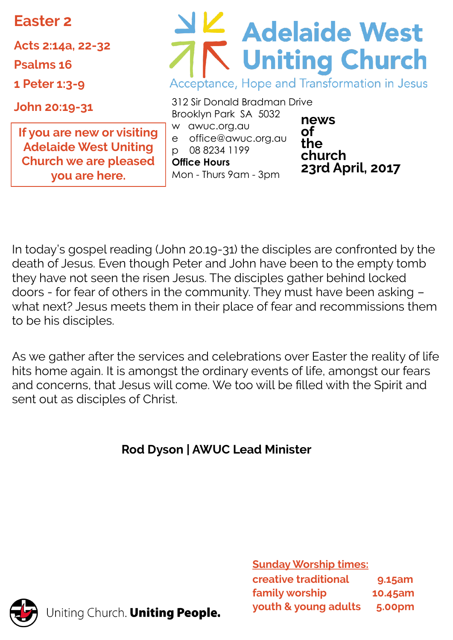**Easter 2**

**Acts 2:14a, 22-32**

**Psalms 16**

**1 Peter 1:3-9**

**John 20:19-31**

**If you are new or visiting Adelaide West Uniting Church we are pleased you are here.** 

# Adelaide West Acceptance, Hope and Transformation in Jesus

312 Sir Donald Bradman Drive Brooklyn Park SA 5032 w awuc.org.au e office@awuc.org.au p 08 8234 1199 **Office Hours**  Mon - Thurs 9am - 3pm

**news of the church 23rd April, 2017**

In today's gospel reading (John 20.19-31) the disciples are confronted by the death of Jesus. Even though Peter and John have been to the empty tomb they have not seen the risen Jesus. The disciples gather behind locked doors - for fear of others in the community. They must have been asking – what next? Jesus meets them in their place of fear and recommissions them to be his disciples.

As we gather after the services and celebrations over Easter the reality of life hits home again. It is amongst the ordinary events of life, amongst our fears and concerns, that Jesus will come. We too will be filled with the Spirit and sent out as disciples of Christ.

# **Rod Dyson | AWUC Lead Minister**



Jniting Church. Uniting People.

**Sunday Worship times: creative traditional 9.15am family worship 10.45am youth & young adults 5.00pm**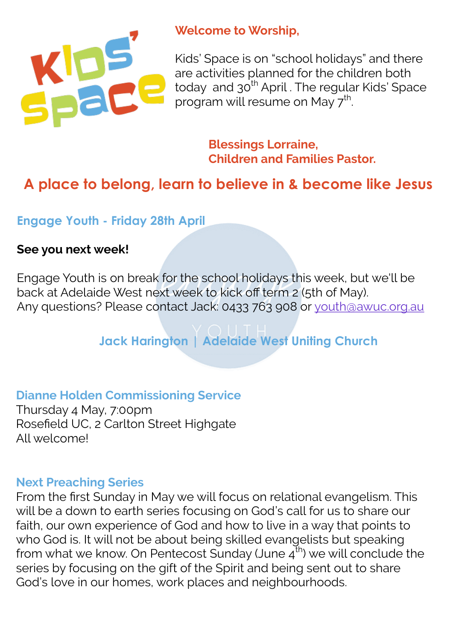

#### **Welcome to Worship,**

Kids' Space is on "school holidays" and there are activities planned for the children both today and 30<sup>th</sup> April . The regular Kids' Space program will resume on May 7<sup>th</sup>. .

> **Blessings Lorraine, Children and Families Pastor.**

# **A place to belong, learn to believe in & become like Jesus**

**Engage Youth - Friday 28th April**

#### **See you next week!**

Engage Youth is on break for the school holidays this week, but we'll be back at Adelaide West next week to kick off term 2 (5th of May). Any questions? Please contact Jack: 0433 763 908 or [youth@awuc.org.au](mailto:youth@awuc.org.au)

# **Jack Harington | Adelaide West Uniting Church**

#### **Dianne Holden Commissioning Service**

Thursday 4 May, 7:00pm Rosefield UC, 2 Carlton Street Highgate All welcome!

#### **Next Preaching Series**

From the first Sunday in May we will focus on relational evangelism. This will be a down to earth series focusing on God's call for us to share our faith, our own experience of God and how to live in a way that points to who God is. It will not be about being skilled evangelists but speaking from what we know. On Pentecost Sunday (June  $4^{th}$ ) we will conclude the series by focusing on the gift of the Spirit and being sent out to share God's love in our homes, work places and neighbourhoods.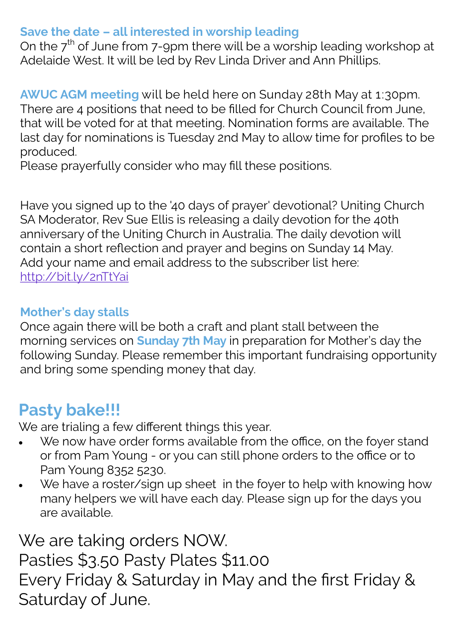### **Save the date – all interested in worship leading**

On the  $7<sup>th</sup>$  of June from 7-9pm there will be a worship leading workshop at Adelaide West. It will be led by Rev Linda Driver and Ann Phillips.

**AWUC AGM meeting** will be held here on Sunday 28th May at 1:30pm. There are 4 positions that need to be filled for Church Council from June, that will be voted for at that meeting. Nomination forms are available. The last day for nominations is Tuesday 2nd May to allow time for profiles to be produced.

Please prayerfully consider who may fill these positions.

Have you signed up to the '40 days of prayer' devotional? Uniting Church SA Moderator, Rev Sue Ellis is releasing a daily devotion for the 40th anniversary of the Uniting Church in Australia. The daily devotion will contain a short reflection and prayer and begins on Sunday 14 May. Add your name and email address to the subscriber list here: <http://bit.ly/2nTtYai>

## **Mother's day stalls**

Once again there will be both a craft and plant stall between the morning services on **Sunday 7th May** in preparation for Mother's day the following Sunday. Please remember this important fundraising opportunity and bring some spending money that day.

# **Pasty bake!!!**

We are trialing a few different things this year.

- We now have order forms available from the office, on the foyer stand or from Pam Young - or you can still phone orders to the office or to Pam Young 8352 5230.
- We have a roster/sign up sheet in the foyer to help with knowing how many helpers we will have each day. Please sign up for the days you are available.

We are taking orders NOW. Pasties \$3.50 Pasty Plates \$11.00 Every Friday & Saturday in May and the first Friday & Saturday of June.